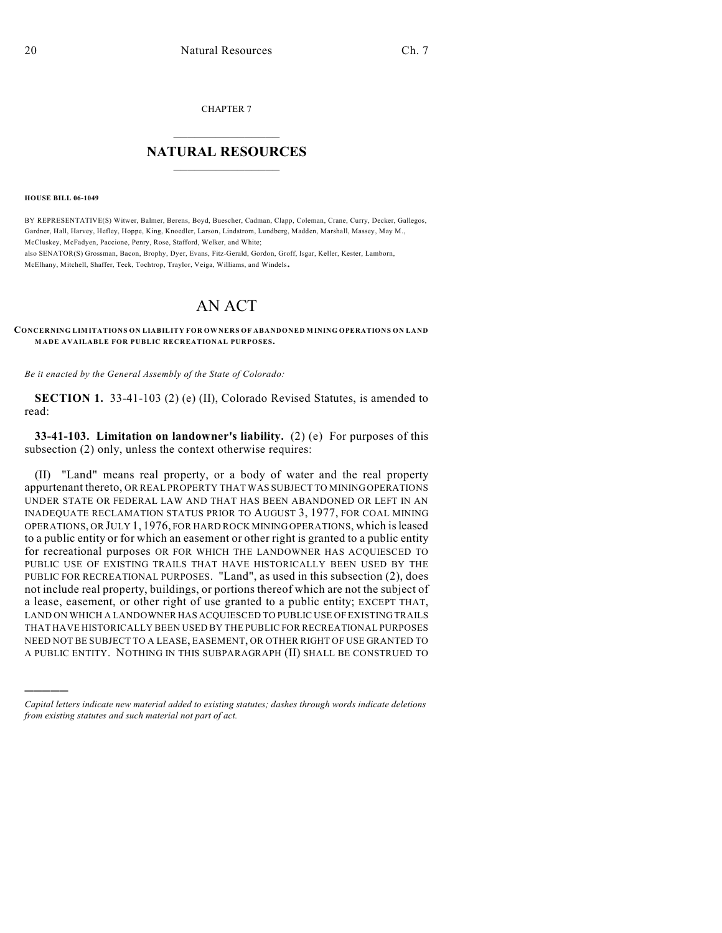CHAPTER 7

## $\overline{\phantom{a}}$  . The set of the set of the set of the set of the set of the set of the set of the set of the set of the set of the set of the set of the set of the set of the set of the set of the set of the set of the set o **NATURAL RESOURCES**  $\frac{1}{\sqrt{2}}$  , where  $\frac{1}{\sqrt{2}}$  ,  $\frac{1}{\sqrt{2}}$  ,  $\frac{1}{\sqrt{2}}$

**HOUSE BILL 06-1049**

)))))

BY REPRESENTATIVE(S) Witwer, Balmer, Berens, Boyd, Buescher, Cadman, Clapp, Coleman, Crane, Curry, Decker, Gallegos, Gardner, Hall, Harvey, Hefley, Hoppe, King, Knoedler, Larson, Lindstrom, Lundberg, Madden, Marshall, Massey, May M., McCluskey, McFadyen, Paccione, Penry, Rose, Stafford, Welker, and White; also SENATOR(S) Grossman, Bacon, Brophy, Dyer, Evans, Fitz-Gerald, Gordon, Groff, Isgar, Keller, Kester, Lamborn, McElhany, Mitchell, Shaffer, Teck, Tochtrop, Traylor, Veiga, Williams, and Windels.

## AN ACT

**CONCERNING LIMITATIONS ON LIABILITY FOR OWNERS OF ABANDONED MINING OPERATIONS ON LAND MADE AVAILABLE FOR PUBLIC RECREATIONAL PURPOSES.**

*Be it enacted by the General Assembly of the State of Colorado:*

**SECTION 1.** 33-41-103 (2) (e) (II), Colorado Revised Statutes, is amended to read:

**33-41-103. Limitation on landowner's liability.** (2) (e) For purposes of this subsection (2) only, unless the context otherwise requires:

(II) "Land" means real property, or a body of water and the real property appurtenant thereto, OR REAL PROPERTY THAT WAS SUBJECT TO MINING OPERATIONS UNDER STATE OR FEDERAL LAW AND THAT HAS BEEN ABANDONED OR LEFT IN AN INADEQUATE RECLAMATION STATUS PRIOR TO AUGUST 3, 1977, FOR COAL MINING OPERATIONS, OR JULY 1, 1976, FOR HARD ROCK MINING OPERATIONS, which is leased to a public entity or for which an easement or other right is granted to a public entity for recreational purposes OR FOR WHICH THE LANDOWNER HAS ACQUIESCED TO PUBLIC USE OF EXISTING TRAILS THAT HAVE HISTORICALLY BEEN USED BY THE PUBLIC FOR RECREATIONAL PURPOSES. "Land", as used in this subsection (2), does not include real property, buildings, or portions thereof which are not the subject of a lease, easement, or other right of use granted to a public entity; EXCEPT THAT, LAND ON WHICH A LANDOWNER HAS ACQUIESCED TO PUBLIC USE OF EXISTING TRAILS THAT HAVE HISTORICALLY BEEN USED BY THE PUBLIC FOR RECREATIONAL PURPOSES NEED NOT BE SUBJECT TO A LEASE, EASEMENT, OR OTHER RIGHT OF USE GRANTED TO A PUBLIC ENTITY. NOTHING IN THIS SUBPARAGRAPH (II) SHALL BE CONSTRUED TO

*Capital letters indicate new material added to existing statutes; dashes through words indicate deletions from existing statutes and such material not part of act.*